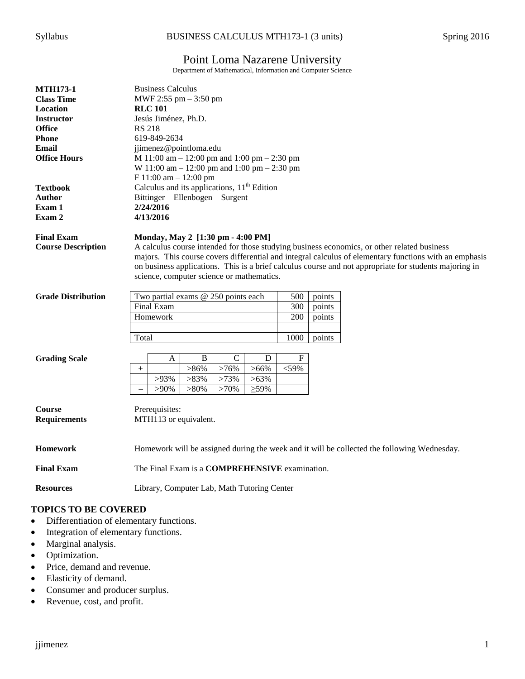# Point Loma Nazarene University

Department of Mathematical, Information and Computer Science

| <b>MTH173-1</b><br><b>Class Time</b><br>Location<br><b>Instructor</b><br><b>Office</b><br><b>Phone</b><br>Email<br><b>Office Hours</b><br><b>Textbook</b><br>Author<br>Exam 1<br>Exam 2 | <b>Business Calculus</b><br>MWF 2:55 $pm - 3:50$ pm<br><b>RLC 101</b><br>Jesús Jiménez, Ph.D.<br><b>RS 218</b><br>619-849-2634<br>jjimenez@pointloma.edu<br>M 11:00 am $-$ 12:00 pm and 1:00 pm $-$ 2:30 pm<br>W 11:00 am $-$ 12:00 pm and 1:00 pm $-$ 2:30 pm<br>$F 11:00$ am $- 12:00$ pm<br>Calculus and its applications, 11 <sup>th</sup> Edition<br>Bittinger - Ellenbogen - Surgent<br>2/24/2016<br>4/13/2016 |  |  |  |  |
|-----------------------------------------------------------------------------------------------------------------------------------------------------------------------------------------|----------------------------------------------------------------------------------------------------------------------------------------------------------------------------------------------------------------------------------------------------------------------------------------------------------------------------------------------------------------------------------------------------------------------|--|--|--|--|
|                                                                                                                                                                                         |                                                                                                                                                                                                                                                                                                                                                                                                                      |  |  |  |  |
| <b>Final Exam</b><br><b>Course Description</b>                                                                                                                                          | Monday, May 2 [1:30 pm - 4:00 PM]<br>A calculus course intended for those studying business economics, or other related business<br>majors. This course covers differential and integral calculus of elementary functions with an emphasis<br>on business applications. This is a brief calculus course and not appropriate for students majoring in<br>science, computer science or mathematics.                    |  |  |  |  |
| <b>Grade Distribution</b>                                                                                                                                                               | 500<br>Two partial exams @ 250 points each<br>points                                                                                                                                                                                                                                                                                                                                                                 |  |  |  |  |
|                                                                                                                                                                                         | Final Exam<br>300<br>points                                                                                                                                                                                                                                                                                                                                                                                          |  |  |  |  |
|                                                                                                                                                                                         | Homework<br>200<br>points                                                                                                                                                                                                                                                                                                                                                                                            |  |  |  |  |
|                                                                                                                                                                                         |                                                                                                                                                                                                                                                                                                                                                                                                                      |  |  |  |  |
|                                                                                                                                                                                         | 1000<br>Total<br>points                                                                                                                                                                                                                                                                                                                                                                                              |  |  |  |  |
| <b>Grading Scale</b>                                                                                                                                                                    | $\mathbf C$<br>${\bf F}$<br>$\bf{B}$<br>D<br>A                                                                                                                                                                                                                                                                                                                                                                       |  |  |  |  |
|                                                                                                                                                                                         | $<$ 59%<br>$>86\%$<br>>76%<br>$>66\%$                                                                                                                                                                                                                                                                                                                                                                                |  |  |  |  |
|                                                                                                                                                                                         | $>83\%$<br>$>73\%$<br>$>63\%$<br>$>93\%$                                                                                                                                                                                                                                                                                                                                                                             |  |  |  |  |
|                                                                                                                                                                                         | $>80\%$<br>$\geq$ 59%<br>$>90\%$<br>>70%                                                                                                                                                                                                                                                                                                                                                                             |  |  |  |  |
| <b>Course</b><br><b>Requirements</b>                                                                                                                                                    | Prerequisites:<br>MTH113 or equivalent.                                                                                                                                                                                                                                                                                                                                                                              |  |  |  |  |
| <b>Homework</b>                                                                                                                                                                         | Homework will be assigned during the week and it will be collected the following Wednesday.                                                                                                                                                                                                                                                                                                                          |  |  |  |  |
| <b>Final Exam</b>                                                                                                                                                                       | The Final Exam is a COMPREHENSIVE examination.                                                                                                                                                                                                                                                                                                                                                                       |  |  |  |  |
| <b>Resources</b>                                                                                                                                                                        | Library, Computer Lab, Math Tutoring Center                                                                                                                                                                                                                                                                                                                                                                          |  |  |  |  |

## **TOPICS TO BE COVERED**

- Differentiation of elementary functions.
- Integration of elementary functions.
- Marginal analysis.
- Optimization.
- Price, demand and revenue.
- Elasticity of demand.
- Consumer and producer surplus.
- Revenue, cost, and profit.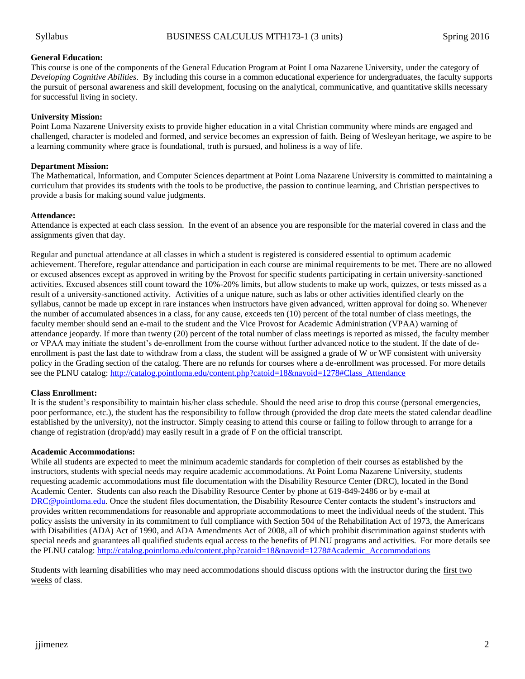### **General Education:**

This course is one of the components of the General Education Program at Point Loma Nazarene University, under the category of *Developing Cognitive Abilities*. By including this course in a common educational experience for undergraduates, the faculty supports the pursuit of personal awareness and skill development, focusing on the analytical, communicative, and quantitative skills necessary for successful living in society.

### **University Mission:**

Point Loma Nazarene University exists to provide higher education in a vital Christian community where minds are engaged and challenged, character is modeled and formed, and service becomes an expression of faith. Being of Wesleyan heritage, we aspire to be a learning community where grace is foundational, truth is pursued, and holiness is a way of life.

### **Department Mission:**

The Mathematical, Information, and Computer Sciences department at Point Loma Nazarene University is committed to maintaining a curriculum that provides its students with the tools to be productive, the passion to continue learning, and Christian perspectives to provide a basis for making sound value judgments.

### **Attendance:**

Attendance is expected at each class session. In the event of an absence you are responsible for the material covered in class and the assignments given that day.

Regular and punctual attendance at all classes in which a student is registered is considered essential to optimum academic achievement. Therefore, regular attendance and participation in each course are minimal requirements to be met. There are no allowed or excused absences except as approved in writing by the Provost for specific students participating in certain university-sanctioned activities. Excused absences still count toward the 10%-20% limits, but allow students to make up work, quizzes, or tests missed as a result of a university-sanctioned activity. Activities of a unique nature, such as labs or other activities identified clearly on the syllabus, cannot be made up except in rare instances when instructors have given advanced, written approval for doing so. Whenever the number of accumulated absences in a class, for any cause, exceeds ten (10) percent of the total number of class meetings, the faculty member should send an e-mail to the student and the Vice Provost for Academic Administration (VPAA) warning of attendance jeopardy. If more than twenty (20) percent of the total number of class meetings is reported as missed, the faculty member or VPAA may initiate the student's de-enrollment from the course without further advanced notice to the student. If the date of deenrollment is past the last date to withdraw from a class, the student will be assigned a grade of W or WF consistent with university policy in the Grading section of the catalog. There are no refunds for courses where a de-enrollment was processed. For more details see the PLNU catalog[: http://catalog.pointloma.edu/content.php?catoid=18&navoid=1278#Class\\_Attendance](http://catalog.pointloma.edu/content.php?catoid=18&navoid=1278#Class_Attendance)

### **Class Enrollment:**

It is the student's responsibility to maintain his/her class schedule. Should the need arise to drop this course (personal emergencies, poor performance, etc.), the student has the responsibility to follow through (provided the drop date meets the stated calendar deadline established by the university), not the instructor. Simply ceasing to attend this course or failing to follow through to arrange for a change of registration (drop/add) may easily result in a grade of F on the official transcript.

### **Academic Accommodations:**

While all students are expected to meet the minimum academic standards for completion of their courses as established by the instructors, students with special needs may require academic accommodations. At Point Loma Nazarene University, students requesting academic accommodations must file documentation with the Disability Resource Center (DRC), located in the Bond Academic Center. Students can also reach the Disability Resource Center by phone at 619-849-2486 or by e-mail at [DRC@pointloma.edu.](mailto:DRC@pointloma.edu) Once the student files documentation, the Disability Resource Center contacts the student's instructors and provides written recommendations for reasonable and appropriate accommodations to meet the individual needs of the student. This policy assists the university in its commitment to full compliance with Section 504 of the Rehabilitation Act of 1973, the Americans with Disabilities (ADA) Act of 1990, and ADA Amendments Act of 2008, all of which prohibit discrimination against students with special needs and guarantees all qualified students equal access to the benefits of PLNU programs and activities. For more details see the PLNU catalog: [http://catalog.pointloma.edu/content.php?catoid=18&navoid=1278#Academic\\_Accommodations](http://catalog.pointloma.edu/content.php?catoid=18&navoid=1278#Academic_Accommodations) 

Students with learning disabilities who may need accommodations should discuss options with the instructor during the first two weeks of class.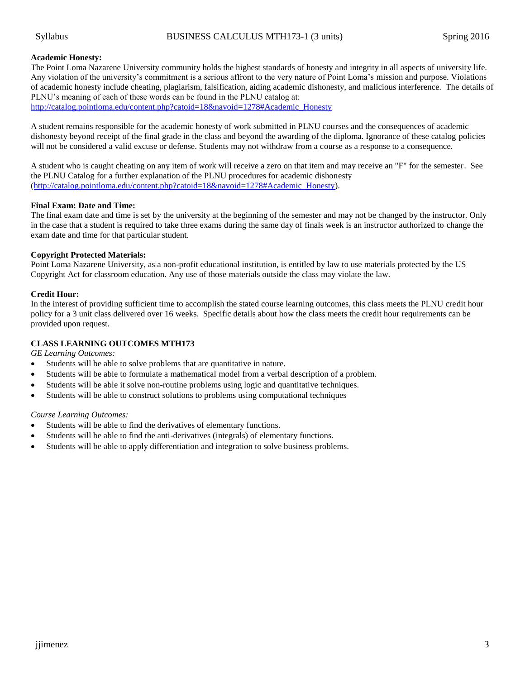### **Academic Honesty:**

The Point Loma Nazarene University community holds the highest standards of honesty and integrity in all aspects of university life. Any violation of the university's commitment is a serious affront to the very nature of Point Loma's mission and purpose. Violations of academic honesty include cheating, plagiarism, falsification, aiding academic dishonesty, and malicious interference. The details of PLNU's meaning of each of these words can be found in the PLNU catalog at: [http://catalog.pointloma.edu/content.php?catoid=18&navoid=1278#Academic\\_Honesty](http://catalog.pointloma.edu/content.php?catoid=18&navoid=1278#Academic_Honesty)

A student remains responsible for the academic honesty of work submitted in PLNU courses and the consequences of academic dishonesty beyond receipt of the final grade in the class and beyond the awarding of the diploma. Ignorance of these catalog policies will not be considered a valid excuse or defense. Students may not withdraw from a course as a response to a consequence.

A student who is caught cheating on any item of work will receive a zero on that item and may receive an "F" for the semester. See the PLNU Catalog for a further explanation of the PLNU procedures for academic dishonesty [\(http://catalog.pointloma.edu/content.php?catoid=18&navoid=1278#Academic\\_Honesty\)](http://catalog.pointloma.edu/content.php?catoid=18&navoid=1278#Academic_Honesty).

### **Final Exam: Date and Time:**

The final exam date and time is set by the university at the beginning of the semester and may not be changed by the instructor. Only in the case that a student is required to take three exams during the same day of finals week is an instructor authorized to change the exam date and time for that particular student.

### **Copyright Protected Materials:**

Point Loma Nazarene University, as a non-profit educational institution, is entitled by law to use materials protected by the US Copyright Act for classroom education. Any use of those materials outside the class may violate the law.

### **Credit Hour:**

In the interest of providing sufficient time to accomplish the stated course learning outcomes, this class meets the PLNU credit hour policy for a 3 unit class delivered over 16 weeks. Specific details about how the class meets the credit hour requirements can be provided upon request.

### **CLASS LEARNING OUTCOMES MTH173**

*GE Learning Outcomes:*

- Students will be able to solve problems that are quantitative in nature.
- Students will be able to formulate a mathematical model from a verbal description of a problem.
- Students will be able it solve non-routine problems using logic and quantitative techniques.
- Students will be able to construct solutions to problems using computational techniques

### *Course Learning Outcomes:*

- Students will be able to find the derivatives of elementary functions.
- Students will be able to find the anti-derivatives (integrals) of elementary functions.
- Students will be able to apply differentiation and integration to solve business problems.